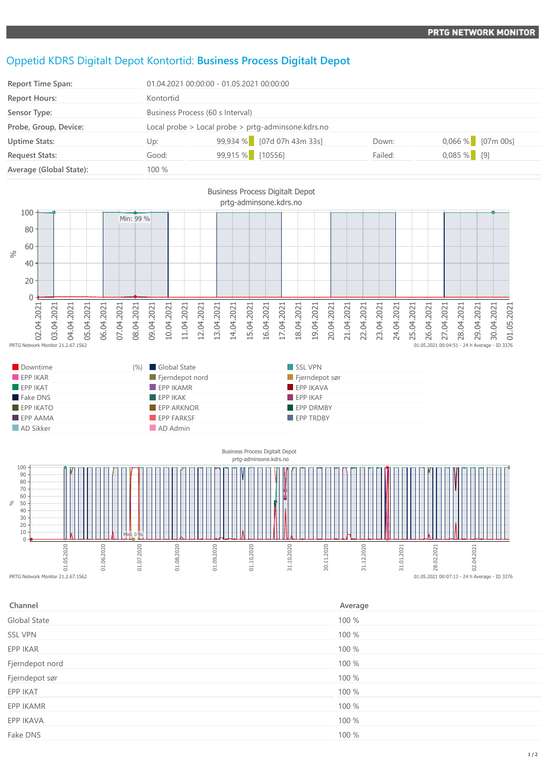## Oppetid KDRS Digitalt Depot Kontortid: **Business Process Digitalt Depot**

**EPP IKATO EPP ARKNOR EPP ARKNOR EPP OR EPP DRMBY EPP AAMA EPP FARKSF** EPP FARKSF **EPP TRDBY** 

**AD Sikker AD Admin** 

| Report Time Span:       | 01.04.2021 00:00:00 - 01.05.2021 00:00:00          |                            |         |                     |
|-------------------------|----------------------------------------------------|----------------------------|---------|---------------------|
| <b>Report Hours:</b>    | Kontortid                                          |                            |         |                     |
| Sensor Type:            | Business Process (60 s Interval)                   |                            |         |                     |
| Probe, Group, Device:   | Local probe > Local probe > prtg-adminsone.kdrs.no |                            |         |                     |
| <b>Uptime Stats:</b>    | Up:                                                | 99,934 % [07d 07h 43m 33s] | Down:   | $0,066\%$ [07m 00s] |
| <b>Request Stats:</b>   | Good:                                              | 99,915 % [10556]           | Failed: | $0,085%$ [9]        |
| Average (Global State): | 100 %                                              |                            |         |                     |





| Channel             | Average |
|---------------------|---------|
| <b>Global State</b> | 100 %   |
| <b>SSL VPN</b>      | 100 %   |
| EPP IKAR            | 100 %   |
| Fjerndepot nord     | 100 %   |
| Fjerndepot sør      | 100 %   |
| EPP IKAT            | 100 %   |
| EPP IKAMR           | 100 %   |
| EPP IKAVA           | 100 %   |
| Fake DNS            | 100 %   |
|                     |         |